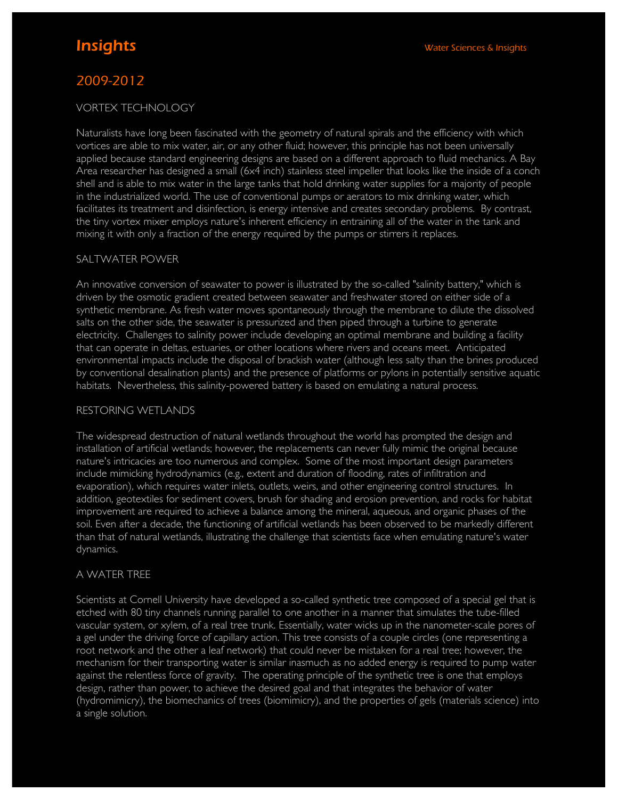# 2009-2012

# VORTEX TECHNOLOGY

Naturalists have long been fascinated with the geometry of natural spirals and the efficiency with which vortices are able to mix water, air, or any other fluid; however, this principle has not been universally applied because standard engineering designs are based on a different approach to fluid mechanics. A Bay Area researcher has designed a small (6x4 inch) stainless steel impeller that looks like the inside of a conch shell and is able to mix water in the large tanks that hold drinking water supplies for a majority of people in the industrialized world. The use of conventional pumps or aerators to mix drinking water, which facilitates its treatment and disinfection, is energy intensive and creates secondary problems. By contrast, the tiny vortex mixer employs nature's inherent efficiency in entraining all of the water in the tank and mixing it with only a fraction of the energy required by the pumps or stirrers it replaces.

## SALTWATER POWER

An innovative conversion of seawater to power is illustrated by the so-called "salinity battery," which is driven by the osmotic gradient created between seawater and freshwater stored on either side of a synthetic membrane. As fresh water moves spontaneously through the membrane to dilute the dissolved salts on the other side, the seawater is pressurized and then piped through a turbine to generate electricity. Challenges to salinity power include developing an optimal membrane and building a facility that can operate in deltas, estuaries, or other locations where rivers and oceans meet. Anticipated environmental impacts include the disposal of brackish water (although less salty than the brines produced by conventional desalination plants) and the presence of platforms or pylons in potentially sensitive aquatic habitats. Nevertheless, this salinity-powered battery is based on emulating a natural process.

### RESTORING WETLANDS

The widespread destruction of natural wetlands throughout the world has prompted the design and installation of artificial wetlands; however, the replacements can never fully mimic the original because nature's intricacies are too numerous and complex. Some of the most important design parameters include mimicking hydrodynamics (e.g., extent and duration of flooding, rates of infiltration and evaporation), which requires water inlets, outlets, weirs, and other engineering control structures. In addition, geotextiles for sediment covers, brush for shading and erosion prevention, and rocks for habitat improvement are required to achieve a balance among the mineral, aqueous, and organic phases of the soil. Even after a decade, the functioning of artificial wetlands has been observed to be markedly different than that of natural wetlands, illustrating the challenge that scientists face when emulating nature's water dynamics.

### A WATER TREE

Scientists at Cornell University have developed a so-called synthetic tree composed of a special gel that is etched with 80 tiny channels running parallel to one another in a manner that simulates the tube-filled vascular system, or xylem, of a real tree trunk. Essentially, water wicks up in the nanometer-scale pores of a gel under the driving force of capillary action. This tree consists of a couple circles (one representing a root network and the other a leaf network) that could never be mistaken for a real tree; however, the mechanism for their transporting water is similar inasmuch as no added energy is required to pump water against the relentless force of gravity. The operating principle of the synthetic tree is one that employs design, rather than power, to achieve the desired goal and that integrates the behavior of water (hydromimicry), the biomechanics of trees (biomimicry), and the properties of gels (materials science) into a single solution.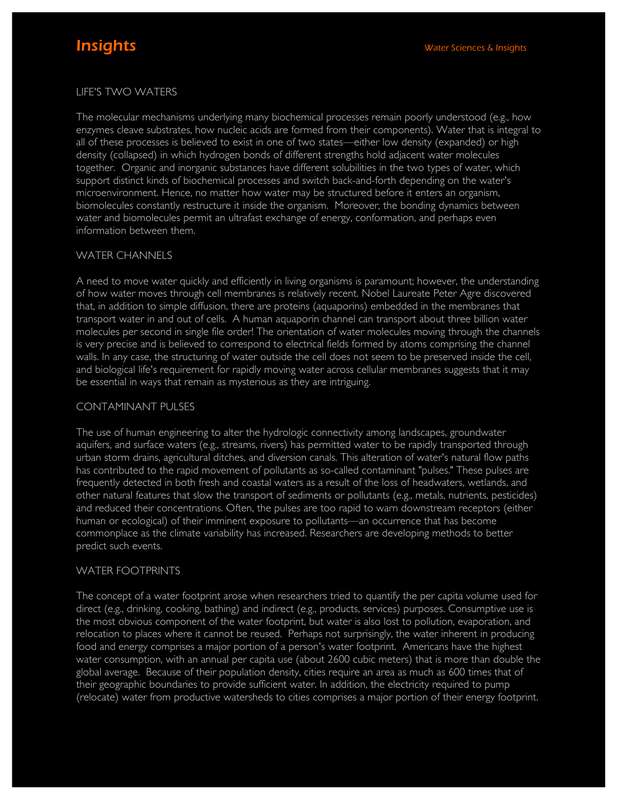# LIFE'S TWO WATERS

The molecular mechanisms underlying many biochemical processes remain poorly understood (e.g., how enzymes cleave substrates, how nucleic acids are formed from their components). Water that is integral to all of these processes is believed to exist in one of two states—either low density (expanded) or high density (collapsed) in which hydrogen bonds of different strengths hold adjacent water molecules together. Organic and inorganic substances have different solubilities in the two types of water, which support distinct kinds of biochemical processes and switch back-and-forth depending on the water's microenvironment. Hence, no matter how water may be structured before it enters an organism, biomolecules constantly restructure it inside the organism. Moreover, the bonding dynamics between water and biomolecules permit an ultrafast exchange of energy, conformation, and perhaps even information between them.

### WATER CHANNELS

A need to move water quickly and efficiently in living organisms is paramount; however, the understanding of how water moves through cell membranes is relatively recent. Nobel Laureate Peter Agre discovered that, in addition to simple diffusion, there are proteins (aquaporins) embedded in the membranes that transport water in and out of cells. A human aquaporin channel can transport about three billion water molecules per second in single file order! The orientation of water molecules moving through the channels is very precise and is believed to correspond to electrical fields formed by atoms comprising the channel walls. In any case, the structuring of water outside the cell does not seem to be preserved inside the cell, and biological life's requirement for rapidly moving water across cellular membranes suggests that it may be essential in ways that remain as mysterious as they are intriguing.

### CONTAMINANT PULSES

The use of human engineering to alter the hydrologic connectivity among landscapes, groundwater aquifers, and surface waters (e.g., streams, rivers) has permitted water to be rapidly transported through urban storm drains, agricultural ditches, and diversion canals. This alteration of water's natural flow paths has contributed to the rapid movement of pollutants as so-called contaminant "pulses." These pulses are frequently detected in both fresh and coastal waters as a result of the loss of headwaters, wetlands, and other natural features that slow the transport of sediments or pollutants (e.g., metals, nutrients, pesticides) and reduced their concentrations. Often, the pulses are too rapid to warn downstream receptors (either human or ecological) of their imminent exposure to pollutants—an occurrence that has become commonplace as the climate variability has increased. Researchers are developing methods to better predict such events.

### WATER FOOTPRINTS

The concept of a water footprint arose when researchers tried to quantify the per capita volume used for direct (e.g., drinking, cooking, bathing) and indirect (e.g., products, services) purposes. Consumptive use is the most obvious component of the water footprint, but water is also lost to pollution, evaporation, and relocation to places where it cannot be reused. Perhaps not surprisingly, the water inherent in producing food and energy comprises a major portion of a person's water footprint. Americans have the highest water consumption, with an annual per capita use (about 2600 cubic meters) that is more than double the global average. Because of their population density, cities require an area as much as 600 times that of their geographic boundaries to provide sufficient water. In addition, the electricity required to pump (relocate) water from productive watersheds to cities comprises a major portion of their energy footprint.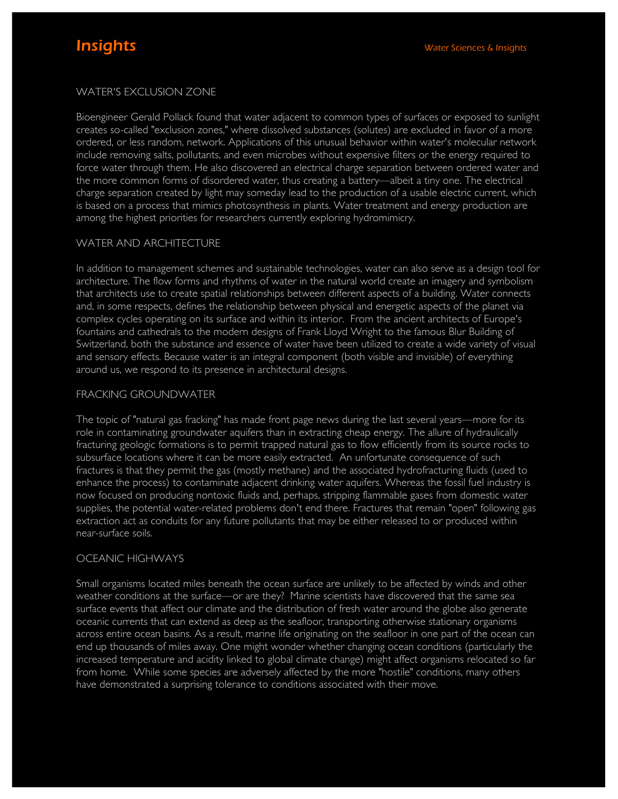# WATER'S EXCLUSION ZONE

Bioengineer Gerald Pollack found that water adjacent to common types of surfaces or exposed to sunlight creates so-called "exclusion zones," where dissolved substances (solutes) are excluded in favor of a more ordered, or less random, network. Applications of this unusual behavior within water's molecular network include removing salts, pollutants, and even microbes without expensive filters or the energy required to force water through them. He also discovered an electrical charge separation between ordered water and the more common forms of disordered water, thus creating a battery—albeit a tiny one. The electrical charge separation created by light may someday lead to the production of a usable electric current, which is based on a process that mimics photosynthesis in plants. Water treatment and energy production are among the highest priorities for researchers currently exploring hydromimicry.

### WATER AND ARCHITECTURE

In addition to management schemes and sustainable technologies, water can also serve as a design tool for architecture. The flow forms and rhythms of water in the natural world create an imagery and symbolism that architects use to create spatial relationships between different aspects of a building. Water connects and, in some respects, defines the relationship between physical and energetic aspects of the planet via complex cycles operating on its surface and within its interior. From the ancient architects of Europe's fountains and cathedrals to the modern designs of Frank Lloyd Wright to the famous Blur Building of Switzerland, both the substance and essence of water have been utilized to create a wide variety of visual and sensory effects. Because water is an integral component (both visible and invisible) of everything around us, we respond to its presence in architectural designs.

## FRACKING GROUNDWATER

The topic of "natural gas fracking" has made front page news during the last several years—more for its role in contaminating groundwater aquifers than in extracting cheap energy. The allure of hydraulically fracturing geologic formations is to permit trapped natural gas to flow efficiently from its source rocks to subsurface locations where it can be more easily extracted. An unfortunate consequence of such fractures is that they permit the gas (mostly methane) and the associated hydrofracturing fluids (used to enhance the process) to contaminate adjacent drinking water aquifers. Whereas the fossil fuel industry is now focused on producing nontoxic fluids and, perhaps, stripping flammable gases from domestic water supplies, the potential water-related problems don't end there. Fractures that remain "open" following gas extraction act as conduits for any future pollutants that may be either released to or produced within near-surface soils.

### OCEANIC HIGHWAYS

Small organisms located miles beneath the ocean surface are unlikely to be affected by winds and other weather conditions at the surface—or are they? Marine scientists have discovered that the same sea surface events that affect our climate and the distribution of fresh water around the globe also generate oceanic currents that can extend as deep as the seafloor, transporting otherwise stationary organisms across entire ocean basins. As a result, marine life originating on the seafloor in one part of the ocean can end up thousands of miles away. One might wonder whether changing ocean conditions (particularly the increased temperature and acidity linked to global climate change) might affect organisms relocated so far from home. While some species are adversely affected by the more "hostile" conditions, many others have demonstrated a surprising tolerance to conditions associated with their move.